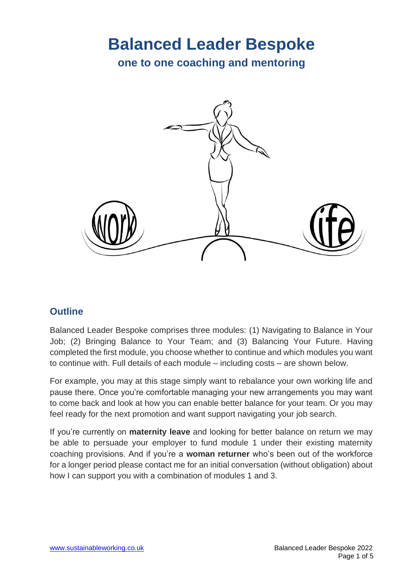# **Balanced Leader Bespoke**

**one to one coaching and mentoring**



# **Outline**

Balanced Leader Bespoke comprises three modules: (1) Navigating to Balance in Your Job; (2) Bringing Balance to Your Team; and (3) Balancing Your Future. Having completed the first module, you choose whether to continue and which modules you want to continue with. Full details of each module – including costs – are shown below.

For example, you may at this stage simply want to rebalance your own working life and pause there. Once you're comfortable managing your new arrangements you may want to come back and look at how you can enable better balance for your team. Or you may feel ready for the next promotion and want support navigating your job search.

If you're currently on **maternity leave** and looking for better balance on return we may be able to persuade your employer to fund module 1 under their existing maternity coaching provisions. And if you're a **woman returner** who's been out of the workforce for a longer period please contact me for an initial conversation (without obligation) about how I can support you with a combination of modules 1 and 3.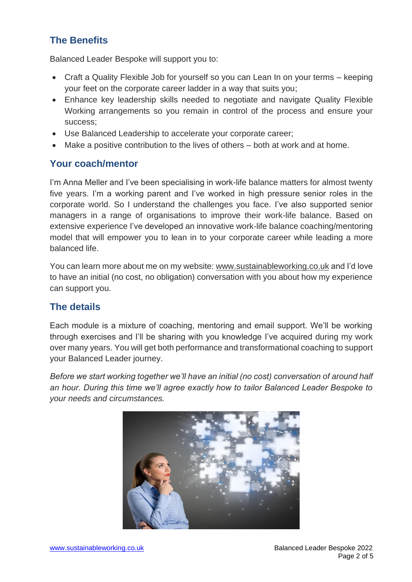# **The Benefits**

Balanced Leader Bespoke will support you to:

- Craft a Quality Flexible Job for yourself so you can Lean In on your terms keeping your feet on the corporate career ladder in a way that suits you;
- Enhance key leadership skills needed to negotiate and navigate Quality Flexible Working arrangements so you remain in control of the process and ensure your success;
- Use Balanced Leadership to accelerate your corporate career;
- Make a positive contribution to the lives of others both at work and at home.

#### **Your coach/mentor**

I'm Anna Meller and I've been specialising in work-life balance matters for almost twenty five years. I'm a working parent and I've worked in high pressure senior roles in the corporate world. So I understand the challenges you face. I've also supported senior managers in a range of organisations to improve their work-life balance. Based on extensive experience I've developed an innovative work-life balance coaching/mentoring model that will empower you to lean in to your corporate career while leading a more balanced life.

You can learn more about me on my website: [www.sustainableworking.co.uk](http://www.sustainableworking.co.uk/) and I'd love to have an initial (no cost, no obligation) conversation with you about how my experience can support you.

### **The details**

Each module is a mixture of coaching, mentoring and email support. We'll be working through exercises and I'll be sharing with you knowledge I've acquired during my work over many years. You will get both performance and transformational coaching to support your Balanced Leader journey.

*Before we start working together we'll have an initial (no cost) conversation of around half an hour. During this time we'll agree exactly how to tailor Balanced Leader Bespoke to your needs and circumstances.*

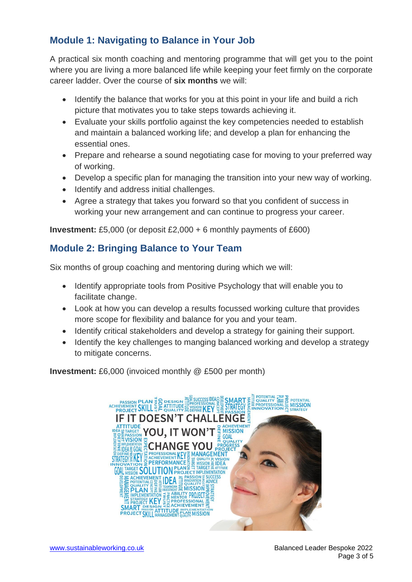# **Module 1: Navigating to Balance in Your Job**

A practical six month coaching and mentoring programme that will get you to the point where you are living a more balanced life while keeping your feet firmly on the corporate career ladder. Over the course of **six months** we will:

- Identify the balance that works for you at this point in your life and build a rich picture that motivates you to take steps towards achieving it.
- Evaluate your skills portfolio against the key competencies needed to establish and maintain a balanced working life; and develop a plan for enhancing the essential ones.
- Prepare and rehearse a sound negotiating case for moving to your preferred way of working.
- Develop a specific plan for managing the transition into your new way of working.
- Identify and address initial challenges.
- Agree a strategy that takes you forward so that you confident of success in working your new arrangement and can continue to progress your career.

**Investment:** £5,000 (or deposit £2,000 + 6 monthly payments of £600)

# **Module 2: Bringing Balance to Your Team**

Six months of group coaching and mentoring during which we will:

- Identify appropriate tools from Positive Psychology that will enable you to facilitate change.
- Look at how you can develop a results focussed working culture that provides more scope for flexibility and balance for you and your team.
- Identify critical stakeholders and develop a strategy for gaining their support.
- Identify the key challenges to manging balanced working and develop a strategy to mitigate concerns.

**Investment:** £6,000 (invoiced monthly @ £500 per month)

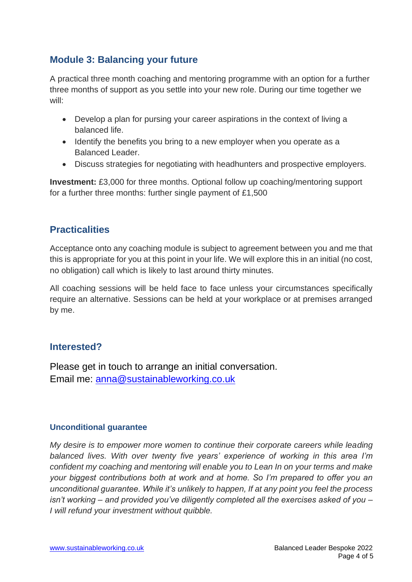## **Module 3: Balancing your future**

A practical three month coaching and mentoring programme with an option for a further three months of support as you settle into your new role. During our time together we will:

- Develop a plan for pursing your career aspirations in the context of living a balanced life.
- Identify the benefits you bring to a new employer when you operate as a Balanced Leader.
- Discuss strategies for negotiating with headhunters and prospective employers.

**Investment:** £3,000 for three months. Optional follow up coaching/mentoring support for a further three months: further single payment of £1,500

#### **Practicalities**

Acceptance onto any coaching module is subject to agreement between you and me that this is appropriate for you at this point in your life. We will explore this in an initial (no cost, no obligation) call which is likely to last around thirty minutes.

All coaching sessions will be held face to face unless your circumstances specifically require an alternative. Sessions can be held at your workplace or at premises arranged by me.

#### **Interested?**

Please get in touch to arrange an initial conversation. Email me: [anna@sustainableworking.co.uk](mailto:anna@sustainableworking.co.uk)

#### **Unconditional guarantee**

*My desire is to empower more women to continue their corporate careers while leading balanced lives. With over twenty five years' experience of working in this area I'm confident my coaching and mentoring will enable you to Lean In on your terms and make your biggest contributions both at work and at home. So I'm prepared to offer you an unconditional guarantee. While it's unlikely to happen, If at any point you feel the process isn't working – and provided you've diligently completed all the exercises asked of you – I will refund your investment without quibble.*